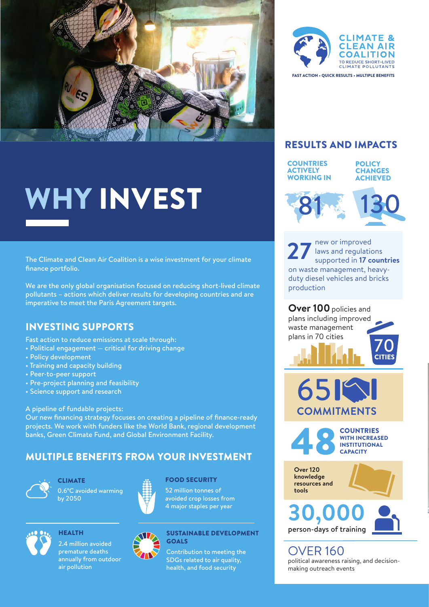

# WHY INVEST

The Climate and Clean Air Coalition is a wise investment for your climate finance portfolio.

We are the only global organisation focused on reducing short-lived climate pollutants – actions which deliver results for developing countries and are imperative to meet the Paris Agreement targets.

## INVESTING SUPPORTS

- Fast action to reduce emissions at scale through:
- Political engagement critical for driving change
- Policy development
- Training and capacity building
- Peer-to-peer support
- Pre-project planning and feasibility
- Science support and research

#### A pipeline of fundable projects:

Our new financing strategy focuses on creating a pipeline of finance-ready projects. We work with funders like the World Bank, regional development banks, Green Climate Fund, and Global Environment Facility.

# MULTIPLE BENEFITS FROM YOUR INVESTMENT



**CLIMATE** 0.6°C avoided warming by 2050



#### FOOD SECURITY

52 million tonnes of avoided crop losses from 4 major staples per year



**HEALTH** 2.4 million avoided premature deaths annually from outdoor air pollution



#### SUSTAINABLE DEVELOPMENT GOALS

Contribution to meeting the SDGs related to air quality, health, and food security



### RESULTS AND IMPACTS



**POLICY CHANGES** ACHIEVED



new or improved laws and regulations supported in **17 countries** on waste management, heavyduty diesel vehicles and bricks production **27**

70 CITIES **Over 100** policies and plans including improved waste management plans in 70 cities



COUNTRIES

WITH INCREASED INSTITUTIONAL **CAPACITY** 

**Over 120 knowledge resources and tools**





OVER 160 political awareness raising, and decisionmaking outreach events